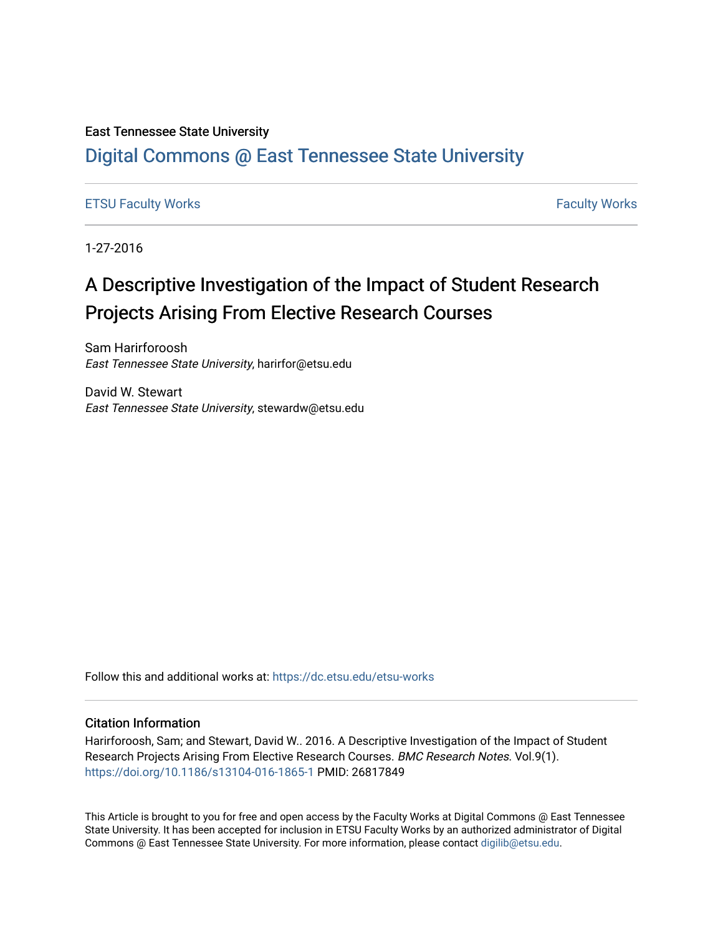## East Tennessee State University

# [Digital Commons @ East Tennessee State University](https://dc.etsu.edu/)

## [ETSU Faculty Works](https://dc.etsu.edu/etsu-works) **Faculty Works** [Faculty Works](https://dc.etsu.edu/faculty-works) **Faculty Works**

1-27-2016

# A Descriptive Investigation of the Impact of Student Research Projects Arising From Elective Research Courses

Sam Harirforoosh East Tennessee State University, harirfor@etsu.edu

David W. Stewart East Tennessee State University, stewardw@etsu.edu

Follow this and additional works at: [https://dc.etsu.edu/etsu-works](https://dc.etsu.edu/etsu-works?utm_source=dc.etsu.edu%2Fetsu-works%2F15239&utm_medium=PDF&utm_campaign=PDFCoverPages) 

### Citation Information

Harirforoosh, Sam; and Stewart, David W.. 2016. A Descriptive Investigation of the Impact of Student Research Projects Arising From Elective Research Courses. BMC Research Notes. Vol.9(1). <https://doi.org/10.1186/s13104-016-1865-1> PMID: 26817849

This Article is brought to you for free and open access by the Faculty Works at Digital Commons @ East Tennessee State University. It has been accepted for inclusion in ETSU Faculty Works by an authorized administrator of Digital Commons @ East Tennessee State University. For more information, please contact [digilib@etsu.edu.](mailto:digilib@etsu.edu)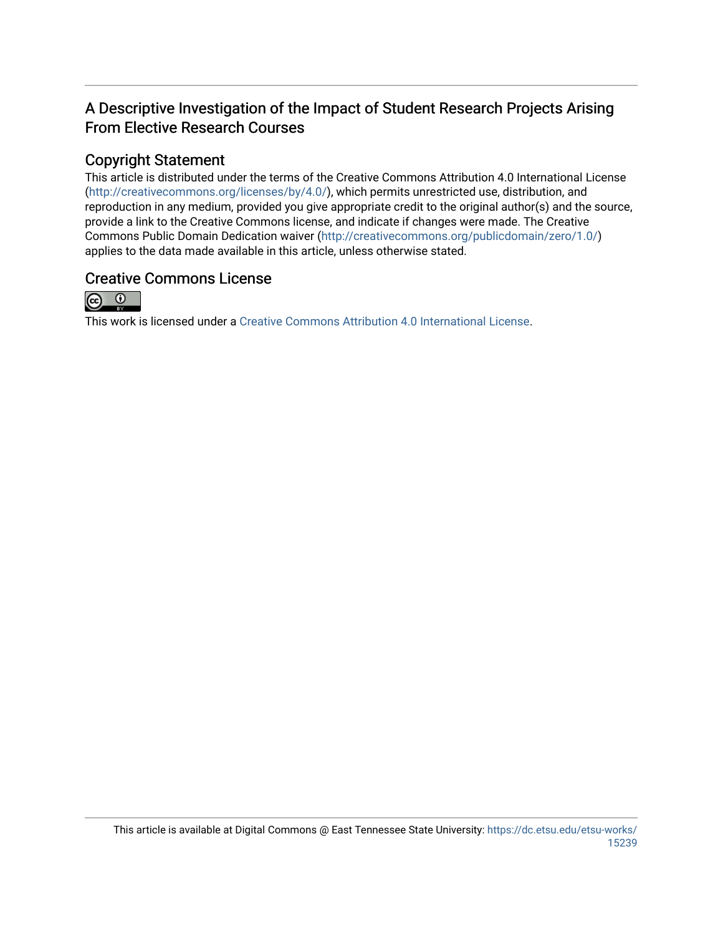# A Descriptive Investigation of the Impact of Student Research Projects Arising From Elective Research Courses

# Copyright Statement

This article is distributed under the terms of the Creative Commons Attribution 4.0 International License [\(http://creativecommons.org/licenses/by/4.0/\)](http://creativecommons.org/licenses/by/4.0/), which permits unrestricted use, distribution, and reproduction in any medium, provided you give appropriate credit to the original author(s) and the source, provide a link to the Creative Commons license, and indicate if changes were made. The Creative Commons Public Domain Dedication waiver [\(http://creativecommons.org/publicdomain/zero/1.0/](http://creativecommons.org/publicdomain/zero/1.0/)) applies to the data made available in this article, unless otherwise stated.

## Creative Commons License



This work is licensed under a [Creative Commons Attribution 4.0 International License.](https://creativecommons.org/licenses/by/4.0/)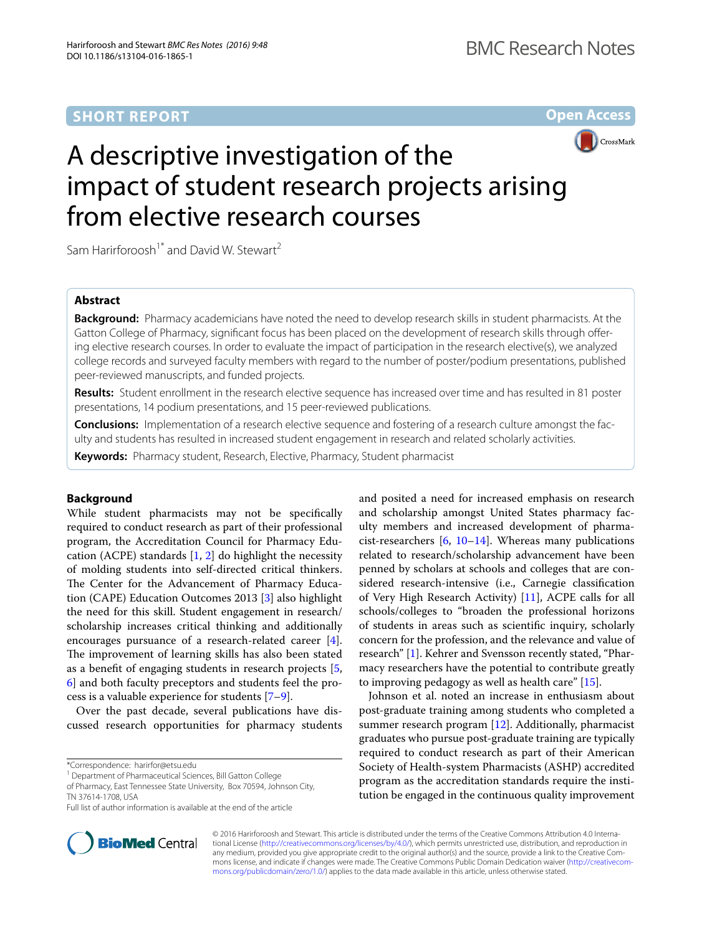## **SHORT REPORT**

**Open Access**



# A descriptive investigation of the impact of student research projects arising from elective research courses

Sam Harirforoosh<sup>1\*</sup> and David W. Stewart<sup>2</sup>

#### **Abstract**

**Background:** Pharmacy academicians have noted the need to develop research skills in student pharmacists. At the Gatton College of Pharmacy, significant focus has been placed on the development of research skills through offering elective research courses. In order to evaluate the impact of participation in the research elective(s), we analyzed college records and surveyed faculty members with regard to the number of poster/podium presentations, published peer-reviewed manuscripts, and funded projects.

**Results:** Student enrollment in the research elective sequence has increased over time and has resulted in 81 poster presentations, 14 podium presentations, and 15 peer-reviewed publications.

**Conclusions:** Implementation of a research elective sequence and fostering of a research culture amongst the faculty and students has resulted in increased student engagement in research and related scholarly activities.

**Keywords:** Pharmacy student, Research, Elective, Pharmacy, Student pharmacist

#### **Background**

While student pharmacists may not be specifically required to conduct research as part of their professional program, the Accreditation Council for Pharmacy Education (ACPE) standards [\[1](#page-5-0), [2](#page-5-1)] do highlight the necessity of molding students into self-directed critical thinkers. The Center for the Advancement of Pharmacy Education (CAPE) Education Outcomes 2013 [\[3](#page-5-2)] also highlight the need for this skill. Student engagement in research/ scholarship increases critical thinking and additionally encourages pursuance of a research-related career [\[4](#page-5-3)]. The improvement of learning skills has also been stated as a benefit of engaging students in research projects [\[5](#page-5-4), [6\]](#page-5-5) and both faculty preceptors and students feel the process is a valuable experience for students  $[7-9]$  $[7-9]$ .

Over the past decade, several publications have discussed research opportunities for pharmacy students

\*Correspondence: harirfor@etsu.edu

<sup>1</sup> Department of Pharmaceutical Sciences, Bill Gatton College

of Pharmacy, East Tennessee State University, Box 70594, Johnson City, TN 37614-1708, USA

Full list of author information is available at the end of the article



and posited a need for increased emphasis on research and scholarship amongst United States pharmacy faculty members and increased development of pharmacist-researchers  $[6, 10-14]$  $[6, 10-14]$  $[6, 10-14]$  $[6, 10-14]$  $[6, 10-14]$ . Whereas many publications related to research/scholarship advancement have been penned by scholars at schools and colleges that are considered research-intensive (i.e., Carnegie classification of Very High Research Activity) [\[11](#page-5-10)], ACPE calls for all schools/colleges to "broaden the professional horizons of students in areas such as scientific inquiry, scholarly concern for the profession, and the relevance and value of research" [\[1\]](#page-5-0). Kehrer and Svensson recently stated, "Pharmacy researchers have the potential to contribute greatly to improving pedagogy as well as health care" [[15](#page-5-11)].

Johnson et al. noted an increase in enthusiasm about post-graduate training among students who completed a summer research program [[12\]](#page-5-12). Additionally, pharmacist graduates who pursue post-graduate training are typically required to conduct research as part of their American Society of Health-system Pharmacists (ASHP) accredited program as the accreditation standards require the institution be engaged in the continuous quality improvement

© 2016 Harirforoosh and Stewart. This article is distributed under the terms of the Creative Commons Attribution 4.0 International License [\(http://creativecommons.org/licenses/by/4.0/\)](http://creativecommons.org/licenses/by/4.0/), which permits unrestricted use, distribution, and reproduction in any medium, provided you give appropriate credit to the original author(s) and the source, provide a link to the Creative Commons license, and indicate if changes were made. The Creative Commons Public Domain Dedication waiver ([http://creativecom](http://creativecommons.org/publicdomain/zero/1.0/)[mons.org/publicdomain/zero/1.0/\)](http://creativecommons.org/publicdomain/zero/1.0/) applies to the data made available in this article, unless otherwise stated.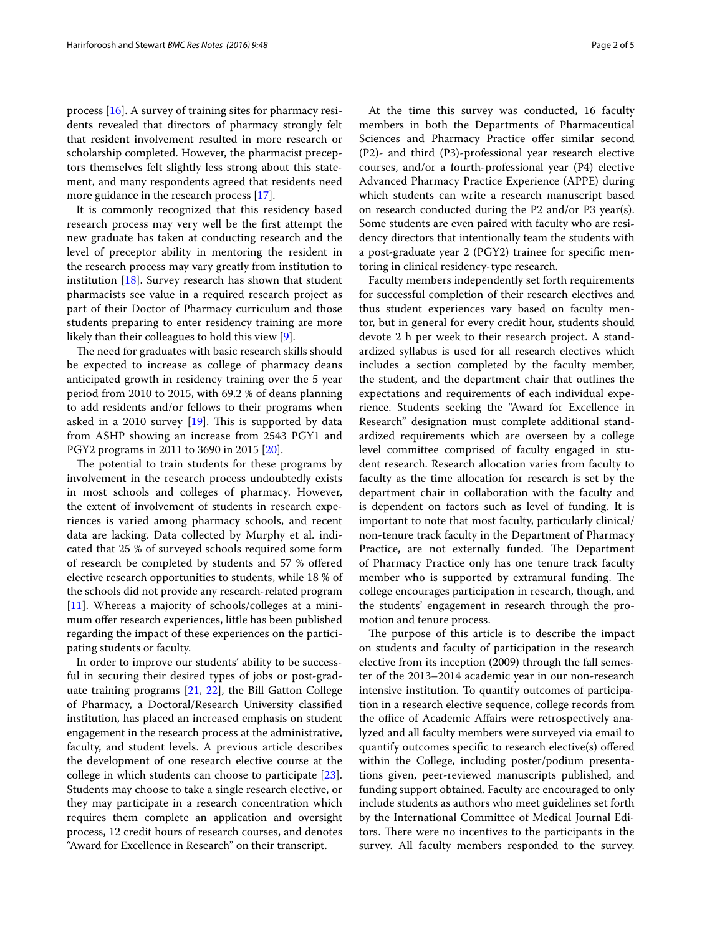process [\[16\]](#page-5-13). A survey of training sites for pharmacy residents revealed that directors of pharmacy strongly felt that resident involvement resulted in more research or scholarship completed. However, the pharmacist preceptors themselves felt slightly less strong about this statement, and many respondents agreed that residents need more guidance in the research process [\[17](#page-5-14)].

It is commonly recognized that this residency based research process may very well be the first attempt the new graduate has taken at conducting research and the level of preceptor ability in mentoring the resident in the research process may vary greatly from institution to institution [[18\]](#page-6-0). Survey research has shown that student pharmacists see value in a required research project as part of their Doctor of Pharmacy curriculum and those students preparing to enter residency training are more likely than their colleagues to hold this view [\[9](#page-5-7)].

The need for graduates with basic research skills should be expected to increase as college of pharmacy deans anticipated growth in residency training over the 5 year period from 2010 to 2015, with 69.2 % of deans planning to add residents and/or fellows to their programs when asked in a 2010 survey [\[19](#page-6-1)]. This is supported by data from ASHP showing an increase from 2543 PGY1 and PGY2 programs in 2011 to 3690 in 2015 [\[20](#page-6-2)].

The potential to train students for these programs by involvement in the research process undoubtedly exists in most schools and colleges of pharmacy. However, the extent of involvement of students in research experiences is varied among pharmacy schools, and recent data are lacking. Data collected by Murphy et al. indicated that 25 % of surveyed schools required some form of research be completed by students and 57 % offered elective research opportunities to students, while 18 % of the schools did not provide any research-related program [[11\]](#page-5-10). Whereas a majority of schools/colleges at a minimum offer research experiences, little has been published regarding the impact of these experiences on the participating students or faculty.

In order to improve our students' ability to be successful in securing their desired types of jobs or post-graduate training programs [\[21](#page-6-3), [22\]](#page-6-4), the Bill Gatton College of Pharmacy, a Doctoral/Research University classified institution, has placed an increased emphasis on student engagement in the research process at the administrative, faculty, and student levels. A previous article describes the development of one research elective course at the college in which students can choose to participate [\[23](#page-6-5)]. Students may choose to take a single research elective, or they may participate in a research concentration which requires them complete an application and oversight process, 12 credit hours of research courses, and denotes "Award for Excellence in Research" on their transcript.

At the time this survey was conducted, 16 faculty members in both the Departments of Pharmaceutical Sciences and Pharmacy Practice offer similar second (P2)- and third (P3)-professional year research elective courses, and/or a fourth-professional year (P4) elective Advanced Pharmacy Practice Experience (APPE) during which students can write a research manuscript based on research conducted during the P2 and/or P3 year(s). Some students are even paired with faculty who are residency directors that intentionally team the students with a post-graduate year 2 (PGY2) trainee for specific mentoring in clinical residency-type research.

Faculty members independently set forth requirements for successful completion of their research electives and thus student experiences vary based on faculty mentor, but in general for every credit hour, students should devote 2 h per week to their research project. A standardized syllabus is used for all research electives which includes a section completed by the faculty member, the student, and the department chair that outlines the expectations and requirements of each individual experience. Students seeking the "Award for Excellence in Research" designation must complete additional standardized requirements which are overseen by a college level committee comprised of faculty engaged in student research. Research allocation varies from faculty to faculty as the time allocation for research is set by the department chair in collaboration with the faculty and is dependent on factors such as level of funding. It is important to note that most faculty, particularly clinical/ non-tenure track faculty in the Department of Pharmacy Practice, are not externally funded. The Department of Pharmacy Practice only has one tenure track faculty member who is supported by extramural funding. The college encourages participation in research, though, and the students' engagement in research through the promotion and tenure process.

The purpose of this article is to describe the impact on students and faculty of participation in the research elective from its inception (2009) through the fall semester of the 2013–2014 academic year in our non-research intensive institution. To quantify outcomes of participation in a research elective sequence, college records from the office of Academic Affairs were retrospectively analyzed and all faculty members were surveyed via email to quantify outcomes specific to research elective(s) offered within the College, including poster/podium presentations given, peer-reviewed manuscripts published, and funding support obtained. Faculty are encouraged to only include students as authors who meet guidelines set forth by the International Committee of Medical Journal Editors. There were no incentives to the participants in the survey. All faculty members responded to the survey.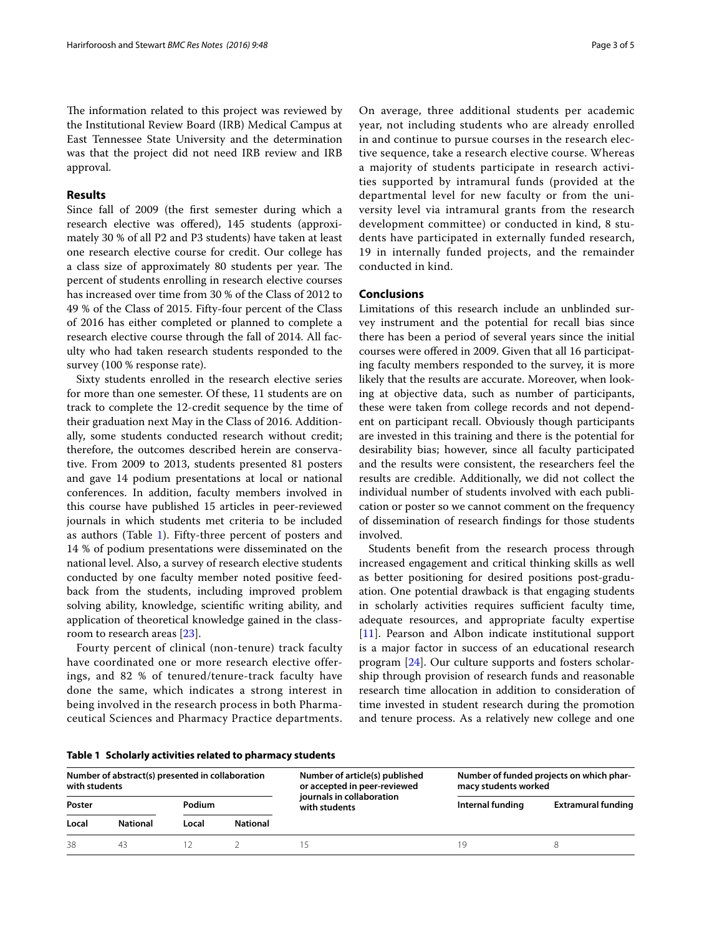#### **Results**

Since fall of 2009 (the first semester during which a research elective was offered), 145 students (approximately 30 % of all P2 and P3 students) have taken at least one research elective course for credit. Our college has a class size of approximately 80 students per year. The percent of students enrolling in research elective courses has increased over time from 30 % of the Class of 2012 to 49 % of the Class of 2015. Fifty-four percent of the Class of 2016 has either completed or planned to complete a research elective course through the fall of 2014. All faculty who had taken research students responded to the survey (100 % response rate).

Sixty students enrolled in the research elective series for more than one semester. Of these, 11 students are on track to complete the 12-credit sequence by the time of their graduation next May in the Class of 2016. Additionally, some students conducted research without credit; therefore, the outcomes described herein are conservative. From 2009 to 2013, students presented 81 posters and gave 14 podium presentations at local or national conferences. In addition, faculty members involved in this course have published 15 articles in peer-reviewed journals in which students met criteria to be included as authors (Table [1](#page-4-0)). Fifty-three percent of posters and 14 % of podium presentations were disseminated on the national level. Also, a survey of research elective students conducted by one faculty member noted positive feedback from the students, including improved problem solving ability, knowledge, scientific writing ability, and application of theoretical knowledge gained in the classroom to research areas [\[23](#page-6-5)].

Fourty percent of clinical (non-tenure) track faculty have coordinated one or more research elective offerings, and 82 % of tenured/tenure-track faculty have done the same, which indicates a strong interest in being involved in the research process in both Pharmaceutical Sciences and Pharmacy Practice departments. On average, three additional students per academic year, not including students who are already enrolled in and continue to pursue courses in the research elective sequence, take a research elective course. Whereas a majority of students participate in research activities supported by intramural funds (provided at the departmental level for new faculty or from the university level via intramural grants from the research development committee) or conducted in kind, 8 students have participated in externally funded research, 19 in internally funded projects, and the remainder conducted in kind.

#### **Conclusions**

Limitations of this research include an unblinded survey instrument and the potential for recall bias since there has been a period of several years since the initial courses were offered in 2009. Given that all 16 participating faculty members responded to the survey, it is more likely that the results are accurate. Moreover, when looking at objective data, such as number of participants, these were taken from college records and not dependent on participant recall. Obviously though participants are invested in this training and there is the potential for desirability bias; however, since all faculty participated and the results were consistent, the researchers feel the results are credible. Additionally, we did not collect the individual number of students involved with each publication or poster so we cannot comment on the frequency of dissemination of research findings for those students involved.

Students benefit from the research process through increased engagement and critical thinking skills as well as better positioning for desired positions post-graduation. One potential drawback is that engaging students in scholarly activities requires sufficient faculty time, adequate resources, and appropriate faculty expertise [[11\]](#page-5-10). Pearson and Albon indicate institutional support is a major factor in success of an educational research program [[24](#page-6-6)]. Our culture supports and fosters scholarship through provision of research funds and reasonable research time allocation in addition to consideration of time invested in student research during the promotion and tenure process. As a relatively new college and one

<span id="page-4-0"></span>

| Table 1 Scholarly activities related to pharmacy students |
|-----------------------------------------------------------|
|-----------------------------------------------------------|

| Number of abstract(s) presented in collaboration<br>with students |                 |        |                 | Number of article(s) published<br>or accepted in peer-reviewed | Number of funded projects on which phar-<br>macy students worked |                           |
|-------------------------------------------------------------------|-----------------|--------|-----------------|----------------------------------------------------------------|------------------------------------------------------------------|---------------------------|
| Poster                                                            |                 | Podium |                 | journals in collaboration<br>with students                     | Internal funding                                                 | <b>Extramural funding</b> |
| Local                                                             | <b>National</b> | Local  | <b>National</b> |                                                                |                                                                  |                           |
| 38                                                                | 43              |        |                 |                                                                | 19                                                               |                           |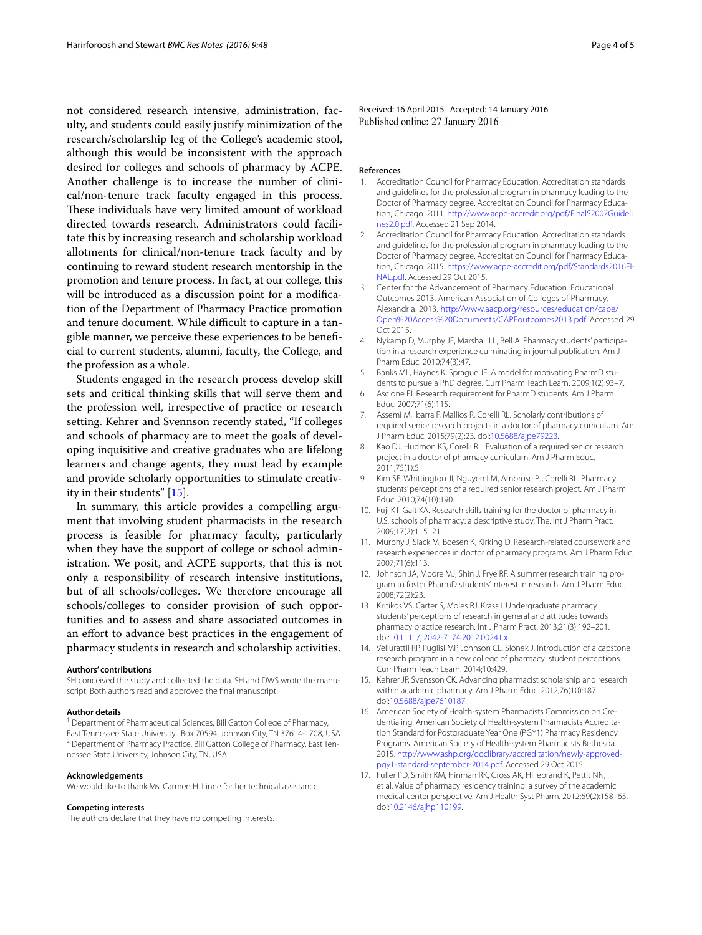not considered research intensive, administration, faculty, and students could easily justify minimization of the research/scholarship leg of the College's academic stool, although this would be inconsistent with the approach desired for colleges and schools of pharmacy by ACPE. Another challenge is to increase the number of clinical/non-tenure track faculty engaged in this process. These individuals have very limited amount of workload directed towards research. Administrators could facilitate this by increasing research and scholarship workload allotments for clinical/non-tenure track faculty and by continuing to reward student research mentorship in the promotion and tenure process. In fact, at our college, this will be introduced as a discussion point for a modification of the Department of Pharmacy Practice promotion and tenure document. While difficult to capture in a tangible manner, we perceive these experiences to be beneficial to current students, alumni, faculty, the College, and the profession as a whole.

Students engaged in the research process develop skill sets and critical thinking skills that will serve them and the profession well, irrespective of practice or research setting. Kehrer and Svennson recently stated, "If colleges and schools of pharmacy are to meet the goals of developing inquisitive and creative graduates who are lifelong learners and change agents, they must lead by example and provide scholarly opportunities to stimulate creativity in their students" [\[15](#page-5-11)].

In summary, this article provides a compelling argument that involving student pharmacists in the research process is feasible for pharmacy faculty, particularly when they have the support of college or school administration. We posit, and ACPE supports, that this is not only a responsibility of research intensive institutions, but of all schools/colleges. We therefore encourage all schools/colleges to consider provision of such opportunities and to assess and share associated outcomes in an effort to advance best practices in the engagement of pharmacy students in research and scholarship activities.

#### **Authors' contributions**

SH conceived the study and collected the data. SH and DWS wrote the manuscript. Both authors read and approved the final manuscript.

#### **Author details**

<sup>1</sup> Department of Pharmaceutical Sciences, Bill Gatton College of Pharmacy,<br>East Tennessee State University, Box 70594, Johnson City, TN 37614-1708, USA. <sup>2</sup> Department of Pharmacy Practice, Bill Gatton College of Pharmacy, East Tennessee State University, Johnson City, TN, USA.

#### **Acknowledgements**

We would like to thank Ms. Carmen H. Linne for her technical assistance.

#### **Competing interests**

The authors declare that they have no competing interests.

Received: 16 April 2015 Accepted: 14 January 2016 Published online: 27 January 2016

#### **References**

- <span id="page-5-0"></span>1. Accreditation Council for Pharmacy Education. Accreditation standards and guidelines for the professional program in pharmacy leading to the Doctor of Pharmacy degree. Accreditation Council for Pharmacy Education, Chicago. 2011. [http://www.acpe-accredit.org/pdf/FinalS2007Guideli](http://www.acpe-accredit.org/pdf/FinalS2007Guidelines2.0.pdf) [nes2.0.pdf](http://www.acpe-accredit.org/pdf/FinalS2007Guidelines2.0.pdf). Accessed 21 Sep 2014.
- <span id="page-5-1"></span>2. Accreditation Council for Pharmacy Education. Accreditation standards and guidelines for the professional program in pharmacy leading to the Doctor of Pharmacy degree. Accreditation Council for Pharmacy Education, Chicago. 2015. [https://www.acpe-accredit.org/pdf/Standards2016FI-](https://www.acpe-accredit.org/pdf/Standards2016FINAL.pdf)[NAL.pdf.](https://www.acpe-accredit.org/pdf/Standards2016FINAL.pdf) Accessed 29 Oct 2015.
- <span id="page-5-2"></span>3. Center for the Advancement of Pharmacy Education. Educational Outcomes 2013. American Association of Colleges of Pharmacy, Alexandria. 2013. [http://www.aacp.org/resources/education/cape/](http://www.aacp.org/resources/education/cape/Open%2520Access%2520Documents/CAPEoutcomes2013.pdf) [Open%20Access%20Documents/CAPEoutcomes2013.pdf](http://www.aacp.org/resources/education/cape/Open%2520Access%2520Documents/CAPEoutcomes2013.pdf). Accessed 29 Oct 2015.
- <span id="page-5-3"></span>4. Nykamp D, Murphy JE, Marshall LL, Bell A. Pharmacy students' participation in a research experience culminating in journal publication. Am J Pharm Educ. 2010;74(3):47.
- <span id="page-5-4"></span>5. Banks ML, Haynes K, Sprague JE. A model for motivating PharmD students to pursue a PhD degree. Curr Pharm Teach Learn. 2009;1(2):93–7.
- <span id="page-5-5"></span>6. Ascione FJ. Research requirement for PharmD students. Am J Pharm Educ. 2007;71(6):115.
- <span id="page-5-6"></span>7. Assemi M, Ibarra F, Mallios R, Corelli RL. Scholarly contributions of required senior research projects in a doctor of pharmacy curriculum. Am J Pharm Educ. 2015;79(2):23. doi[:10.5688/ajpe79223](http://dx.doi.org/10.5688/ajpe79223).
- 8. Kao DJ, Hudmon KS, Corelli RL. Evaluation of a required senior research project in a doctor of pharmacy curriculum. Am J Pharm Educ. 2011;75(1):5.
- <span id="page-5-7"></span>9. Kim SE, Whittington JI, Nguyen LM, Ambrose PJ, Corelli RL. Pharmacy students' perceptions of a required senior research project. Am J Pharm Educ. 2010;74(10):190.
- <span id="page-5-8"></span>10. Fuji KT, Galt KA. Research skills training for the doctor of pharmacy in U.S. schools of pharmacy: a descriptive study. The. Int J Pharm Pract. 2009;17(2):115–21.
- <span id="page-5-10"></span>11. Murphy J, Slack M, Boesen K, Kirking D. Research-related coursework and research experiences in doctor of pharmacy programs. Am J Pharm Educ. 2007;71(6):113.
- <span id="page-5-12"></span>12. Johnson JA, Moore MJ, Shin J, Frye RF. A summer research training program to foster PharmD students' interest in research. Am J Pharm Educ. 2008;72(2):23.
- 13. Kritikos VS, Carter S, Moles RJ, Krass I. Undergraduate pharmacy students' perceptions of research in general and attitudes towards pharmacy practice research. Int J Pharm Pract. 2013;21(3):192–201. doi:[10.1111/j.2042-7174.2012.00241.x.](http://dx.doi.org/10.1111/j.2042-7174.2012.00241.x)
- <span id="page-5-9"></span>14. Vellurattil RP, Puglisi MP, Johnson CL, Slonek J. Introduction of a capstone research program in a new college of pharmacy: student perceptions. Curr Pharm Teach Learn. 2014;10:429.
- <span id="page-5-11"></span>15. Kehrer JP, Svensson CK. Advancing pharmacist scholarship and research within academic pharmacy. Am J Pharm Educ. 2012;76(10):187. doi:[10.5688/ajpe7610187.](http://dx.doi.org/10.5688/ajpe7610187)
- <span id="page-5-13"></span>16. American Society of Health-system Pharmacists Commission on Credentialing. American Society of Health-system Pharmacists Accreditation Standard for Postgraduate Year One (PGY1) Pharmacy Residency Programs. American Society of Health-system Pharmacists Bethesda. 2015. [http://www.ashp.org/doclibrary/accreditation/newly-approved](http://www.ashp.org/doclibrary/accreditation/newly-approved-pgy1-standard-september-2014.pdf)[pgy1-standard-september-2014.pdf](http://www.ashp.org/doclibrary/accreditation/newly-approved-pgy1-standard-september-2014.pdf). Accessed 29 Oct 2015.
- <span id="page-5-14"></span>17. Fuller PD, Smith KM, Hinman RK, Gross AK, Hillebrand K, Pettit NN, et al. Value of pharmacy residency training: a survey of the academic medical center perspective. Am J Health Syst Pharm. 2012;69(2):158–65. doi:[10.2146/ajhp110199.](http://dx.doi.org/10.2146/ajhp110199)